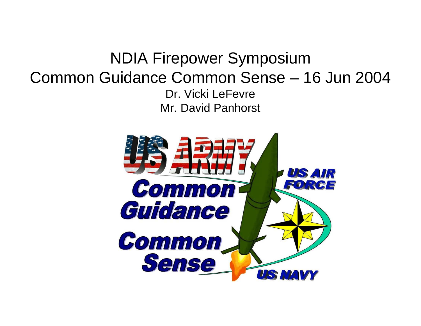NDIA Firepower Symposium Common Guidance Common Sense – 16 Jun 2004Dr. Vicki LeFevreMr. David Panhorst

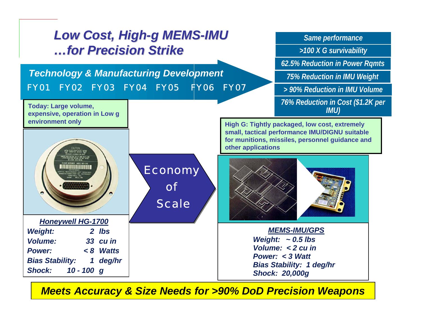

*Meets Accuracy & Size Needs for >90% DoD Precision Weapons*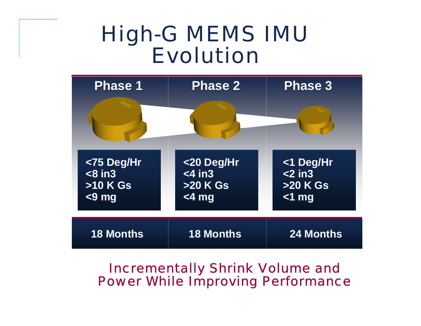# High-G MEMS IMU Evolution



### Incrementally Shrink Volume and Power While Improving Performance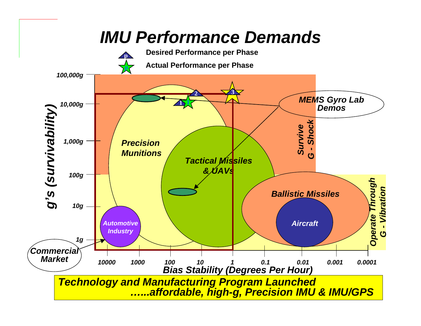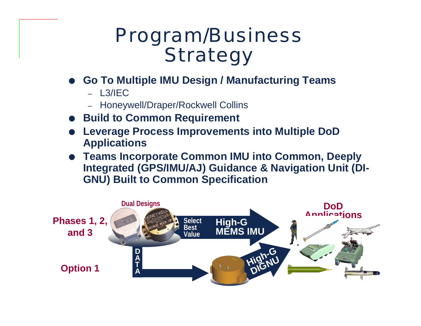# Program/Business **Strategy**

- $\bullet$  **Go To Multiple IMU Design / Manufacturing Teams**
	- L3/IEC
	- Honeywell/Draper/Rockwell Collins
- $\bullet$ **Build to Common Requirement**
- $\bullet$  **Leverage Process Improvements into Multiple DoD Applications**
- **Teams Incorporate Common IMU into Common, Deeply Integrated (GPS/IMU/AJ) Guidance & Navigation Unit (DI-GNU) Built to Common Specification**

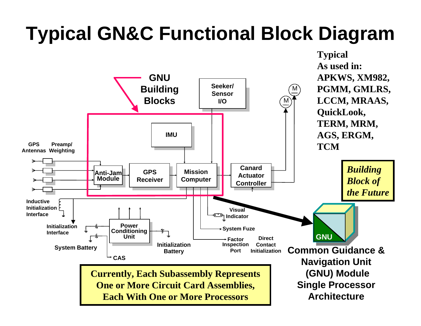# **Typical GN&C Functional Block Diagram**

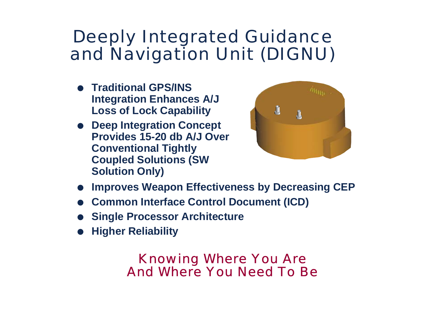### Deeply Integrated Guidance and Navigation Unit (DIGNU)

- **Traditional GPS/INS Integration Enhances A/J Loss of Lock Capability**
- **Deep Integration Concept Provides 15-20 db A/J OverConventional Tightly Coupled Solutions (SW Solution Only)**



- $\bullet$ **Improves Weapon Effectiveness by Decreasing CEP**
- **Common Interface Control Document (ICD)**
- $\bullet$ **Single Processor Architecture**
- $\bullet$ **Higher Reliability**

### Knowing Where You Are And Where You Need To Be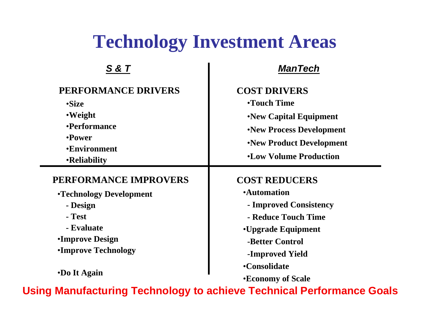## **Technology Investment Areas**

### *S & T*

#### **PERFORMANCE DRIVERS**

•**Size**•**Weight**

•**Performance**

•**Power**

•**Environment**

•**Reliability**

#### **PERFORMANCE IMPROVERS**

•**Technology Development**

- **Design**
- **Test**

 **- Evaluate**

•**Improve Design**

•**Improve Technology**

•**Do It Again**

#### *ManTech*

### **COST DRIVERS**•**Touch Time**•**New Capital Equipment** •**New Process Development** •**New Product Development** •**Low Volume ProductionCOST REDUCERS**•**Automation - Improved Consistency - Reduce Touch Time**•**Upgrade Equipment -Better Control -Improved Yield** •**Consolidate**•**Economy of Scale**

**Using Manufacturing Technology to achieve Technical Performance Goals**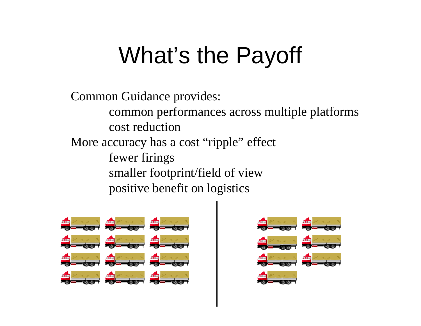# What's the Payoff

Common Guidance provides:

common performances across multiple platforms cost reduction

More accuracy has a cost "ripple" effect fewer firings smaller footprint/field of view positive benefit on logistics



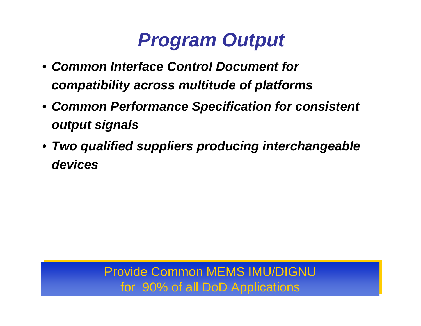# *Program Output*

- *Common Interface Control Document for compatibility across multitude of platforms*
- *Common Performance Specification for consistent output signals*
- *Two qualified suppliers producing interchangeable devices*

### Provide Common MEMS IMU/DIGNU Provide Common MEMS IMU/DIGNUfor 90% of all DoD Applications for 90% of all DoD Applications